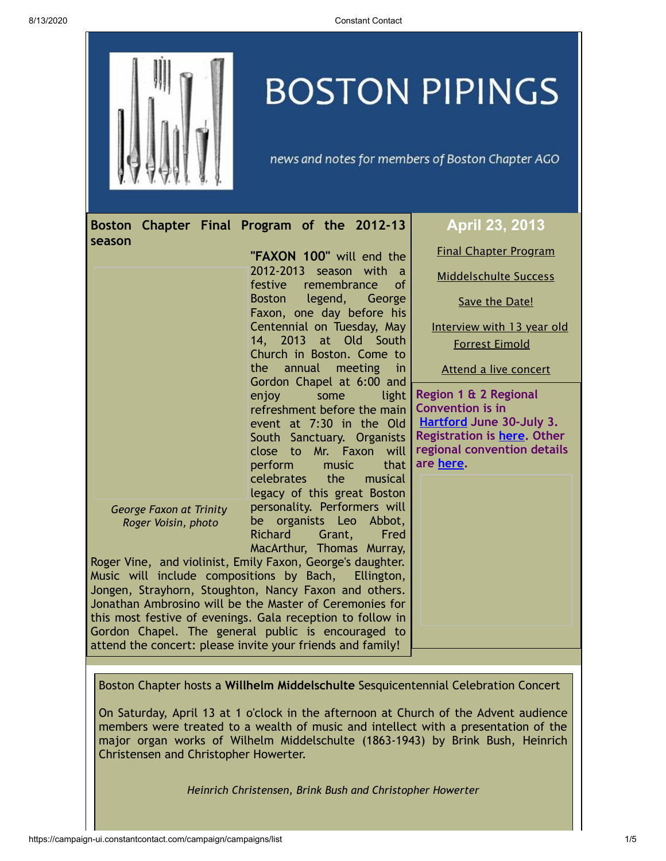

# **BOSTON PIPINGS**

news and notes for members of Boston Chapter AGO

<span id="page-0-0"></span>

| season                                                                                                                                                                                                                                                       | Boston Chapter Final Program of the 2012-13             | April 23, 2013                                   |
|--------------------------------------------------------------------------------------------------------------------------------------------------------------------------------------------------------------------------------------------------------------|---------------------------------------------------------|--------------------------------------------------|
|                                                                                                                                                                                                                                                              | "FAXON 100" will end the                                | <b>Final Chapter Program</b>                     |
|                                                                                                                                                                                                                                                              | 2012-2013 season with a<br>festive<br>remembrance<br>of | <b>Middelschulte Success</b>                     |
|                                                                                                                                                                                                                                                              | legend, George<br>Boston<br>Faxon, one day before his   | Save the Date!                                   |
|                                                                                                                                                                                                                                                              | Centennial on Tuesday, May                              | Interview with 13 year old                       |
|                                                                                                                                                                                                                                                              | 14, 2013 at Old South<br>Church in Boston. Come to      | <b>Forrest Eimold</b>                            |
|                                                                                                                                                                                                                                                              | annual meeting in<br>the<br>Gordon Chapel at 6:00 and   | Attend a live concert                            |
|                                                                                                                                                                                                                                                              | enjoy<br>some<br>light                                  | Region 1 & 2 Regional<br><b>Convention is in</b> |
|                                                                                                                                                                                                                                                              | refreshment before the main<br>event at 7:30 in the Old | <b>Hartford June 30-July 3.</b>                  |
|                                                                                                                                                                                                                                                              | South Sanctuary. Organists                              | Registration is here. Other                      |
|                                                                                                                                                                                                                                                              | Mr. Faxon will<br>close to                              | regional convention details                      |
|                                                                                                                                                                                                                                                              | perform<br>music<br>that<br>celebrates the              | are here.                                        |
|                                                                                                                                                                                                                                                              | musical<br>legacy of this great Boston                  |                                                  |
| George Faxon at Trinity                                                                                                                                                                                                                                      | personality. Performers will                            |                                                  |
| Roger Voisin, photo                                                                                                                                                                                                                                          | be organists Leo<br>Abbot,                              |                                                  |
|                                                                                                                                                                                                                                                              | <b>Richard</b><br>Grant,<br>Fred                        |                                                  |
|                                                                                                                                                                                                                                                              | MacArthur, Thomas Murray,                               |                                                  |
| Roger Vine, and violinist, Emily Faxon, George's daughter.<br>Music will include compositions by Bach, Ellington,                                                                                                                                            |                                                         |                                                  |
| Jongen, Strayhorn, Stoughton, Nancy Faxon and others.                                                                                                                                                                                                        |                                                         |                                                  |
| Jonathan Ambrosino will be the Master of Ceremonies for                                                                                                                                                                                                      |                                                         |                                                  |
| this most festive of evenings. Gala reception to follow in                                                                                                                                                                                                   |                                                         |                                                  |
| Gordon Chapel. The general public is encouraged to                                                                                                                                                                                                           |                                                         |                                                  |
| attend the concert: please invite your friends and family!                                                                                                                                                                                                   |                                                         |                                                  |
|                                                                                                                                                                                                                                                              |                                                         |                                                  |
| Boston Chapter hosts a Willhelm Middelschulte Sesquicentennial Celebration Concert                                                                                                                                                                           |                                                         |                                                  |
| On Saturday, April 13 at 1 o'clock in the afternoon at Church of the Advent audience<br>members were treated to a wealth of music and intellect with a presentation of the<br>major organ works of Wilhelm Middelschulte (1863-1943) by Brink Bush, Heinrich |                                                         |                                                  |

*Heinrich Christensen, Brink Bush and Christopher Howerter*

<span id="page-0-1"></span>Christensen and Christopher Howerter.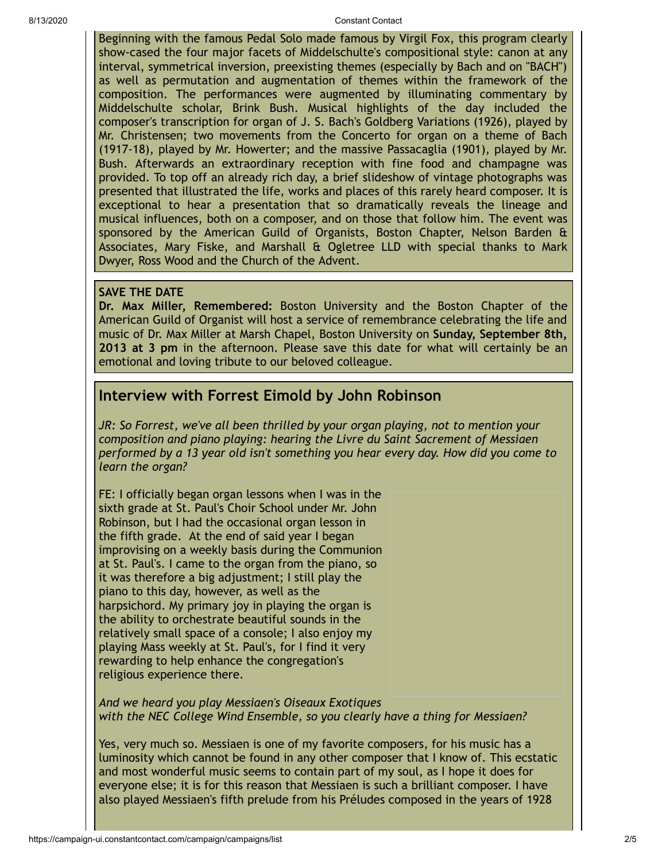8/13/2020 Constant Contact

Beginning with the famous Pedal Solo made famous by Virgil Fox, this program clearly show-cased the four major facets of Middelschulte's compositional style: canon at any interval, symmetrical inversion, preexisting themes (especially by Bach and on "BACH") as well as permutation and augmentation of themes within the framework of the composition. The performances were augmented by illuminating commentary by Middelschulte scholar, Brink Bush. Musical highlights of the day included the composer's transcription for organ of J. S. Bach's Goldberg Variations (1926), played by Mr. Christensen; two movements from the Concerto for organ on a theme of Bach (1917-18), played by Mr. Howerter; and the massive Passacaglia (1901), played by Mr. Bush. Afterwards an extraordinary reception with fine food and champagne was provided. To top off an already rich day, a brief slideshow of vintage photographs was presented that illustrated the life, works and places of this rarely heard composer. It is exceptional to hear a presentation that so dramatically reveals the lineage and musical influences, both on a composer, and on those that follow him. The event was sponsored by the American Guild of Organists, Boston Chapter, Nelson Barden & Associates, Mary Fiske, and Marshall & Ogletree LLD with special thanks to Mark Dwyer, Ross Wood and the Church of the Advent.

### <span id="page-1-0"></span>**SAVE THE DATE**

**Dr. Max Miller, Remembered:** Boston University and the Boston Chapter of the American Guild of Organist will host a service of remembrance celebrating the life and music of Dr. Max Miller at Marsh Chapel, Boston University on **Sunday, September 8th, 2013 at 3 pm** in the afternoon. Please save this date for what will certainly be an emotional and loving tribute to our beloved colleague.

## <span id="page-1-1"></span>**Interview with Forrest Eimold by John Robinson**

*JR: So Forrest, we've all been thrilled by your organ playing, not to mention your composition and piano playing: hearing the Livre du Saint Sacrement of Messiaen performed by a 13 year old isn't something you hear every day. How did you come to learn the organ?*

FE: I officially began organ lessons when I was in the sixth grade at St. Paul's Choir School under Mr. John Robinson, but I had the occasional organ lesson in the fifth grade. At the end of said year I began improvising on a weekly basis during the Communion at St. Paul's. I came to the organ from the piano, so it was therefore a big adjustment; I still play the piano to this day, however, as well as the harpsichord. My primary joy in playing the organ is the ability to orchestrate beautiful sounds in the relatively small space of a console; I also enjoy my playing Mass weekly at St. Paul's, for I find it very rewarding to help enhance the congregation's religious experience there.

*And we heard you play Messiaen's Oiseaux Exotiques with the NEC College Wind Ensemble, so you clearly have a thing for Messiaen?*

Yes, very much so. Messiaen is one of my favorite composers, for his music has a luminosity which cannot be found in any other composer that I know of. This ecstatic and most wonderful music seems to contain part of my soul, as I hope it does for everyone else; it is for this reason that Messiaen is such a brilliant composer. I have also played Messiaen's fifth prelude from his Préludes composed in the years of 1928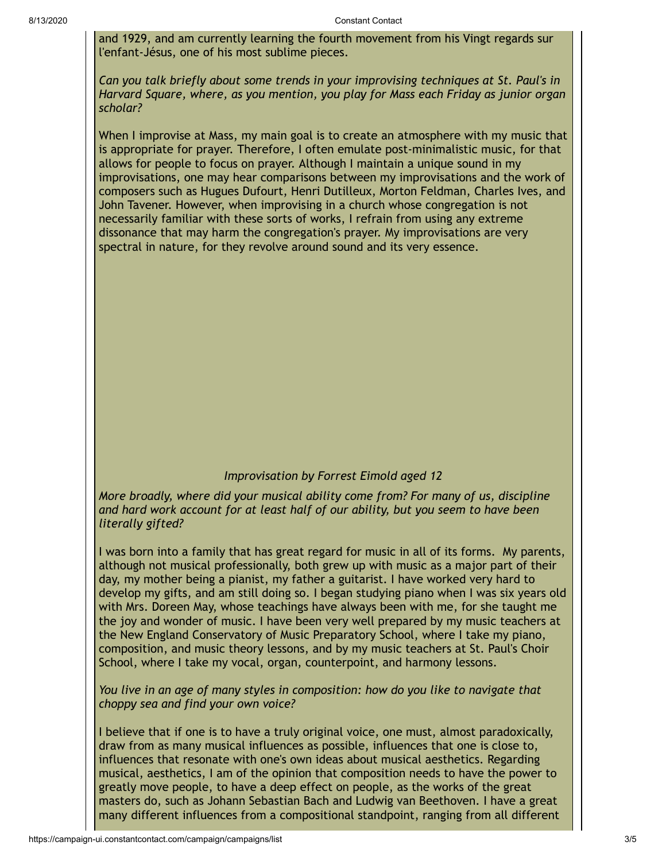and 1929, and am currently learning the fourth movement from his Vingt regards sur l'enfant-Jésus, one of his most sublime pieces.

*Can you talk briefly about some trends in your improvising techniques at St. Paul's in Harvard Square, where, as you mention, you play for Mass each Friday as junior organ scholar?*

When I improvise at Mass, my main goal is to create an atmosphere with my music that is appropriate for prayer. Therefore, I often emulate post-minimalistic music, for that allows for people to focus on prayer. Although I maintain a unique sound in my improvisations, one may hear comparisons between my improvisations and the work of composers such as Hugues Dufourt, Henri Dutilleux, Morton Feldman, Charles Ives, and John Tavener. However, when improvising in a church whose congregation is not necessarily familiar with these sorts of works, I refrain from using any extreme dissonance that may harm the congregation's prayer. My improvisations are very spectral in nature, for they revolve around sound and its very essence.

#### *Improvisation by Forrest Eimold aged 12*

*More broadly, where did your musical ability come from? For many of us, discipline and hard work account for at least half of our ability, but you seem to have been literally gifted?*

I was born into a family that has great regard for music in all of its forms. My parents, although not musical professionally, both grew up with music as a major part of their day, my mother being a pianist, my father a guitarist. I have worked very hard to develop my gifts, and am still doing so. I began studying piano when I was six years old with Mrs. Doreen May, whose teachings have always been with me, for she taught me the joy and wonder of music. I have been very well prepared by my music teachers at the New England Conservatory of Music Preparatory School, where I take my piano, composition, and music theory lessons, and by my music teachers at St. Paul's Choir School, where I take my vocal, organ, counterpoint, and harmony lessons.

*You live in an age of many styles in composition: how do you like to navigate that choppy sea and find your own voice?*

I believe that if one is to have a truly original voice, one must, almost paradoxically, draw from as many musical influences as possible, influences that one is close to, influences that resonate with one's own ideas about musical aesthetics. Regarding musical, aesthetics, I am of the opinion that composition needs to have the power to greatly move people, to have a deep effect on people, as the works of the great masters do, such as Johann Sebastian Bach and Ludwig van Beethoven. I have a great many different influences from a compositional standpoint, ranging from all different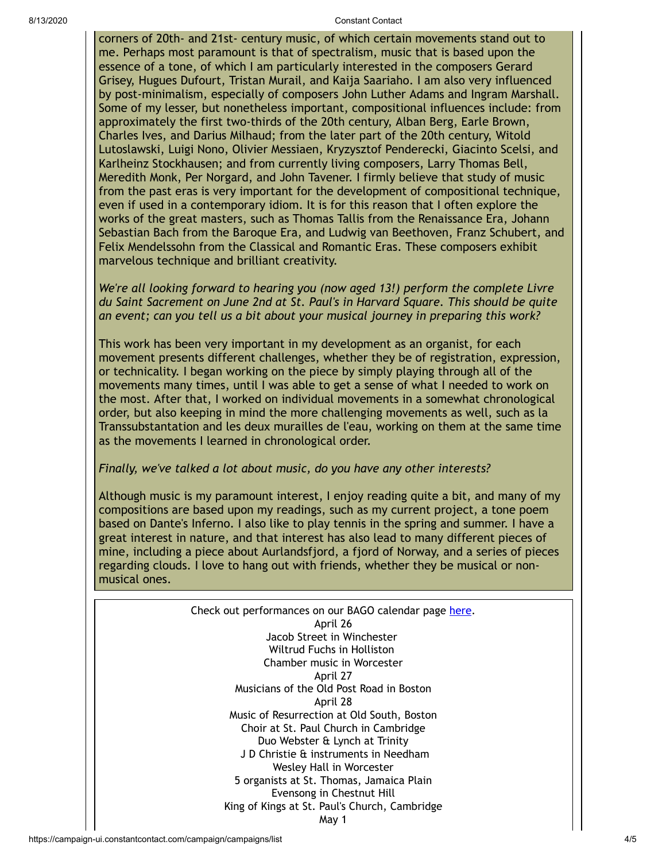#### 8/13/2020 Constant Contact

corners of 20th- and 21st- century music, of which certain movements stand out to me. Perhaps most paramount is that of spectralism, music that is based upon the essence of a tone, of which I am particularly interested in the composers Gerard Grisey, Hugues Dufourt, Tristan Murail, and Kaija Saariaho. I am also very influenced by post-minimalism, especially of composers John Luther Adams and Ingram Marshall. Some of my lesser, but nonetheless important, compositional influences include: from approximately the first two-thirds of the 20th century, Alban Berg, Earle Brown, Charles Ives, and Darius Milhaud; from the later part of the 20th century, Witold Lutoslawski, Luigi Nono, Olivier Messiaen, Kryzysztof Penderecki, Giacinto Scelsi, and Karlheinz Stockhausen; and from currently living composers, Larry Thomas Bell, Meredith Monk, Per Norgard, and John Tavener. I firmly believe that study of music from the past eras is very important for the development of compositional technique, even if used in a contemporary idiom. It is for this reason that I often explore the works of the great masters, such as Thomas Tallis from the Renaissance Era, Johann Sebastian Bach from the Baroque Era, and Ludwig van Beethoven, Franz Schubert, and Felix Mendelssohn from the Classical and Romantic Eras. These composers exhibit marvelous technique and brilliant creativity.

*We're all looking forward to hearing you (now aged 13!) perform the complete Livre du Saint Sacrement on June 2nd at St. Paul's in Harvard Square. This should be quite an event; can you tell us a bit about your musical journey in preparing this work?*

This work has been very important in my development as an organist, for each movement presents different challenges, whether they be of registration, expression, or technicality. I began working on the piece by simply playing through all of the movements many times, until I was able to get a sense of what I needed to work on the most. After that, I worked on individual movements in a somewhat chronological order, but also keeping in mind the more challenging movements as well, such as la Transsubstantation and les deux murailles de l'eau, working on them at the same time as the movements I learned in chronological order.

#### *Finally, we've talked a lot about music, do you have any other interests?*

Although music is my paramount interest, I enjoy reading quite a bit, and many of my compositions are based upon my readings, such as my current project, a tone poem based on Dante's Inferno. I also like to play tennis in the spring and summer. I have a great interest in nature, and that interest has also lead to many different pieces of mine, including a piece about Aurlandsfjord, a fjord of Norway, and a series of pieces regarding clouds. I love to hang out with friends, whether they be musical or nonmusical ones.

> <span id="page-3-0"></span>Check out performances on our BAGO calendar page [here.](http://www.bostonago.org/info/calendar/) April 26 Jacob Street in Winchester Wiltrud Fuchs in Holliston Chamber music in Worcester April 27 Musicians of the Old Post Road in Boston April 28 Music of Resurrection at Old South, Boston Choir at St. Paul Church in Cambridge Duo Webster & Lynch at Trinity J D Christie & instruments in Needham Wesley Hall in Worcester 5 organists at St. Thomas, Jamaica Plain Evensong in Chestnut Hill King of Kings at St. Paul's Church, Cambridge May 1